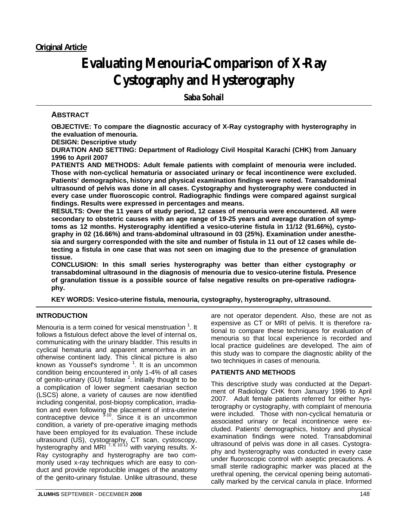# **Evaluating Menouria-Comparison of X-Ray Cystography and Hysterography**

**Saba Sohail** 

## **ABSTRACT**

**OBJECTIVE: To compare the diagnostic accuracy of X-Ray cystography with hysterography in the evaluation of menouria.** 

**DESIGN: Descriptive study** 

**DURATION AND SETTING: Department of Radiology Civil Hospital Karachi (CHK) from January 1996 to April 2007** 

**PATIENTS AND METHODS: Adult female patients with complaint of menouria were included. Those with non-cyclical hematuria or associated urinary or fecal incontinence were excluded. Patients' demographics, history and physical examination findings were noted. Transabdominal ultrasound of pelvis was done in all cases. Cystography and hysterography were conducted in every case under fluoroscopic control. Radiographic findings were compared against surgical findings. Results were expressed in percentages and means.** 

**RESULTS: Over the 11 years of study period, 12 cases of menouria were encountered. All were secondary to obstetric causes with an age range of 19-25 years and average duration of symptoms as 12 months. Hysterography identified a vesico-uterine fistula in 11/12 (91.66%), cystography in 02 (16.66%) and trans-abdominal ultrasound in 03 (25%). Examination under anesthesia and surgery corresponded with the site and number of fistula in 11 out of 12 cases while detecting a fistula in one case that was not seen on imaging due to the presence of granulation tissue.** 

**CONCLUSION: In this small series hysterography was better than either cystography or transabdominal ultrasound in the diagnosis of menouria due to vesico-uterine fistula. Presence of granulation tissue is a possible source of false negative results on pre-operative radiography.** 

**KEY WORDS: Vesico-uterine fistula, menouria, cystography, hysterography, ultrasound.**

## **INTRODUCTION**

Menouria is a term coined for vesical menstruation  $1$ . It follows a fistulous defect above the level of internal os, communicating with the urinary bladder. This results in cyclical hematuria and apparent amenorrhea in an otherwise continent lady. This clinical picture is also known as Youssef's syndrome  $1$ . It is an uncommon condition being encountered in only 1-4% of all cases of genito-urinary (GU) fistulae  $^2$ . Initially thought to be a complication of lower segment caesarian section (LSCS) alone, a variety of causes are now identified including congenital, post-biopsy complication, irradiation and even following the placement of intra-uterine contraceptive device <sup>3-10</sup>. Since it is an uncommon condition, a variety of pre-operative imaging methods have been employed for its evaluation. These include ultrasound (US), cystography, CT scan, cystoscopy, hysterography and MRI<sup>7, 8, 10-12</sup> with varying results. X-Ray cystography and hysterography are two commonly used x-ray techniques which are easy to conduct and provide reproducible images of the anatomy of the genito-urinary fistulae. Unlike ultrasound, these

**JLUMHS** SEPTEMBER - DECEMBER **2008** 148

are not operator dependent. Also, these are not as expensive as CT or MRI of pelvis. It is therefore rational to compare these techniques for evaluation of menouria so that local experience is recorded and local practice guidelines are developed. The aim of this study was to compare the diagnostic ability of the two techniques in cases of menouria.

## **PATIENTS AND METHODS**

This descriptive study was conducted at the Department of Radiology CHK from January 1996 to April 2007. Adult female patients referred for either hysterography or cystography, with complaint of menouria were included. Those with non-cyclical hematuria or associated urinary or fecal incontinence were excluded. Patients' demographics, history and physical examination findings were noted. Transabdominal ultrasound of pelvis was done in all cases. Cystography and hysterography was conducted in every case under fluoroscopic control with aseptic precautions. A small sterile radiographic marker was placed at the urethral opening, the cervical opening being automatically marked by the cervical canula in place. Informed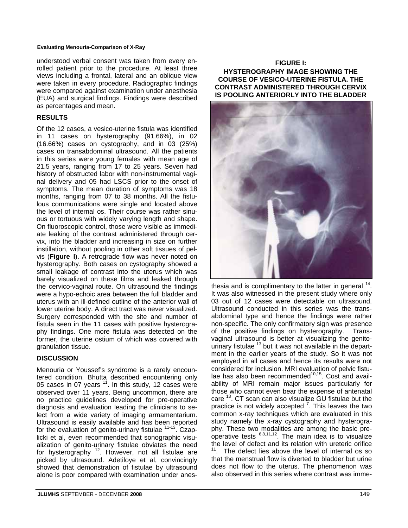#### **Evaluating Menouria-Comparison of X-Ray**

understood verbal consent was taken from every enrolled patient prior to the procedure. At least three views including a frontal, lateral and an oblique view were taken in every procedure. Radiographic findings were compared against examination under anesthesia (EUA) and surgical findings. Findings were described as percentages and mean.

#### **RESULTS**

Of the 12 cases, a vesico-uterine fistula was identified in 11 cases on hysterography (91.66%), in 02 (16.66%) cases on cystography, and in 03 (25%) cases on transabdominal ultrasound. All the patients in this series were young females with mean age of 21.5 years, ranging from 17 to 25 years. Seven had history of obstructed labor with non-instrumental vaginal delivery and 05 had LSCS prior to the onset of symptoms. The mean duration of symptoms was 18 months, ranging from 07 to 38 months. All the fistulous communications were single and located above the level of internal os. Their course was rather sinuous or tortuous with widely varying length and shape. On fluoroscopic control, those were visible as immediate leaking of the contrast administered through cervix, into the bladder and increasing in size on further instillation, without pooling in other soft tissues of pelvis (**Figure I**). A retrograde flow was never noted on hysterography. Both cases on cystography showed a small leakage of contrast into the uterus which was barely visualized on these films and leaked through the cervico-vaginal route. On ultrasound the findings were a hypo-echoic area between the full bladder and uterus with an ill-defined outline of the anterior wall of lower uterine body. A direct tract was never visualized. Surgery corresponded with the site and number of fistula seen in the 11 cases with positive hysterography findings. One more fistula was detected on the former, the uterine ostium of which was covered with granulation tissue.

## **DISCUSSION**

Menouria or Youssef's syndrome is a rarely encountered condition. Bhutta described encountering only 05 cases in 07 years  $11$ . In this study, 12 cases were observed over 11 years. Being uncommon, there are no practice guidelines developed for pre-operative diagnosis and evaluation leading the clinicians to select from a wide variety of imaging armamentarium. Ultrasound is easily available and has been reported for the evaluation of genito-urinary fistulae <sup>11-13</sup>. Czaplicki et al, even recommended that sonographic visualization of genito-urinary fistulae obviates the need for hysterography  $12$ . However, not all fistulae are picked by ultrasound. Adetiloye et al, convincingly showed that demonstration of fistulae by ultrasound alone is poor compared with examination under anes-

## **FIGURE I:**

**HYSTEROGRAPHY IMAGE SHOWING THE COURSE OF VESICO-UTERINE FISTULA. THE CONTRAST ADMINISTERED THROUGH CERVIX IS POOLING ANTERIORLY INTO THE BLADDER**



thesia and is complimentary to the latter in general  $14$ . It was also witnessed in the present study where only 03 out of 12 cases were detectable on ultrasound. Ultrasound conducted in this series was the transabdominal type and hence the findings were rather non-specific. The only confirmatory sign was presence of the positive findings on hysterography. Transvaginal ultrasound is better at visualizing the genitourinary fistulae <sup>13</sup> but it was not available in the department in the earlier years of the study. So it was not employed in all cases and hence its results were not considered for inclusion. MRI evaluation of pelvic fistulae has also been recommended $10,15$ . Cost and availability of MRI remain major issues particularly for those who cannot even bear the expense of antenatal care <sup>13</sup>. CT scan can also visualize GU fistulae but the practice is not widely accepted  $\frac{7}{1}$ . This leaves the two common x-ray techniques which are evaluated in this study namely the x-ray cystography and hysterography. These two modalities are among the basic preoperative tests  $6,8,11,12$ . The main idea is to visualize the level of defect and its relation with ureteric orifice  $11$ . The defect lies above the level of internal os so that the menstrual flow is diverted to bladder but urine does not flow to the uterus. The phenomenon was also observed in this series where contrast was imme-